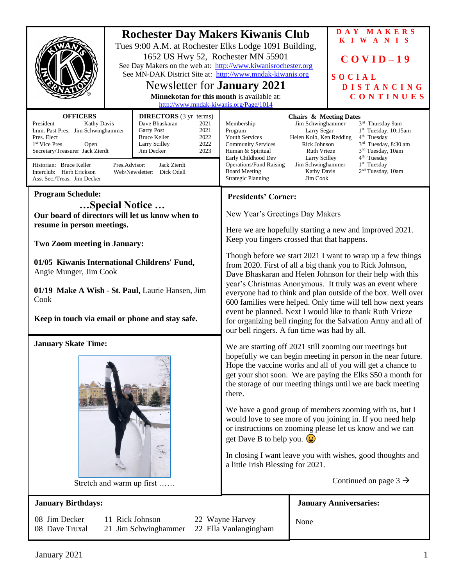|                                                                                                                                                                                                                                                                                                                                                                                                                                                                                                           | <b>Rochester Day Makers Kiwanis Club</b><br>Tues 9:00 A.M. at Rochester Elks Lodge 1091 Building,<br>1652 US Hwy 52, Rochester MN 55901<br>See Day Makers on the web at: http://www.kiwanisrochester.org<br>See MN-DAK District Site at: http://www.mndak-kiwanis.org<br>Newsletter for <b>January</b> 2021<br>Minnekotan for this month is available at:<br>http://www.mndak-kiwanis.org/Page/1014 |                                                                                                                                                                                                                                                                                                                                                                      | DAY MAKERS<br>KIWANIS<br>$COVID-19$<br>SOCIAL<br><b>DISTANCING</b><br>CONTINUES                                                                                                                                                                                                                                                                                                                                      |
|-----------------------------------------------------------------------------------------------------------------------------------------------------------------------------------------------------------------------------------------------------------------------------------------------------------------------------------------------------------------------------------------------------------------------------------------------------------------------------------------------------------|-----------------------------------------------------------------------------------------------------------------------------------------------------------------------------------------------------------------------------------------------------------------------------------------------------------------------------------------------------------------------------------------------------|----------------------------------------------------------------------------------------------------------------------------------------------------------------------------------------------------------------------------------------------------------------------------------------------------------------------------------------------------------------------|----------------------------------------------------------------------------------------------------------------------------------------------------------------------------------------------------------------------------------------------------------------------------------------------------------------------------------------------------------------------------------------------------------------------|
| <b>OFFICERS</b><br><b>DIRECTORS</b> (3 yr terms)<br>President<br><b>Kathy Davis</b><br>Dave Bhaskaran<br>2021<br>Imm. Past Pres. Jim Schwinghammer<br><b>Garry Post</b><br>2021<br>2022<br>Pres. Elect<br><b>Bruce Keller</b><br>2022<br>Larry Scilley<br>1 <sup>st</sup> Vice Pres.<br>Open<br>Secretary/Treasurer Jack Zierdt<br>2023<br>Jim Decker<br>Pres.Advisor:<br>Jack Zierdt<br>Historian: Bruce Keller<br>Interclub: Herb Erickson<br>Web/Newsletter: Dick Odell<br>Asst Sec./Treas: Jim Decker |                                                                                                                                                                                                                                                                                                                                                                                                     | Membership<br>Program<br><b>Youth Services</b><br><b>Community Services</b><br>Human & Spiritual<br>Early Childhood Dev<br><b>Operations/Fund Raising</b><br><b>Board Meeting</b><br><b>Strategic Planning</b>                                                                                                                                                       | <b>Chairs &amp; Meeting Dates</b><br>3rd Thursday 9am<br>Jim Schwinghammer<br>1st Tuesday, 10:15am<br>Larry Segar<br>Helen Kolb, Ken Redding<br>$4th$ Tuesday<br>3rd Tuesday, 8:30 am<br>Rick Johnson<br>Ruth Vrieze<br>3 <sup>nd</sup> Tuesday, 10am<br>4 <sup>th</sup> Tuesday<br>Larry Scilley<br>1 <sup>st</sup> Tuesday<br>Jim Schwinghammer<br>2 <sup>nd</sup> Tuesday, 10am<br><b>Kathy Davis</b><br>Jim Cook |
| <b>Program Schedule:</b>                                                                                                                                                                                                                                                                                                                                                                                                                                                                                  |                                                                                                                                                                                                                                                                                                                                                                                                     | <b>Presidents' Corner:</b>                                                                                                                                                                                                                                                                                                                                           |                                                                                                                                                                                                                                                                                                                                                                                                                      |
| Special Notice                                                                                                                                                                                                                                                                                                                                                                                                                                                                                            |                                                                                                                                                                                                                                                                                                                                                                                                     |                                                                                                                                                                                                                                                                                                                                                                      |                                                                                                                                                                                                                                                                                                                                                                                                                      |
| Our board of directors will let us know when to<br>resume in person meetings.                                                                                                                                                                                                                                                                                                                                                                                                                             |                                                                                                                                                                                                                                                                                                                                                                                                     | New Year's Greetings Day Makers                                                                                                                                                                                                                                                                                                                                      |                                                                                                                                                                                                                                                                                                                                                                                                                      |
|                                                                                                                                                                                                                                                                                                                                                                                                                                                                                                           |                                                                                                                                                                                                                                                                                                                                                                                                     | Here we are hopefully starting a new and improved 2021.<br>Keep you fingers crossed that that happens.                                                                                                                                                                                                                                                               |                                                                                                                                                                                                                                                                                                                                                                                                                      |
| <b>Two Zoom meeting in January:</b>                                                                                                                                                                                                                                                                                                                                                                                                                                                                       |                                                                                                                                                                                                                                                                                                                                                                                                     | Though before we start 2021 I want to wrap up a few things<br>from 2020. First of all a big thank you to Rick Johnson,<br>Dave Bhaskaran and Helen Johnson for their help with this                                                                                                                                                                                  |                                                                                                                                                                                                                                                                                                                                                                                                                      |
| 01/05 Kiwanis International Childrens' Fund,                                                                                                                                                                                                                                                                                                                                                                                                                                                              |                                                                                                                                                                                                                                                                                                                                                                                                     |                                                                                                                                                                                                                                                                                                                                                                      |                                                                                                                                                                                                                                                                                                                                                                                                                      |
| Angie Munger, Jim Cook                                                                                                                                                                                                                                                                                                                                                                                                                                                                                    |                                                                                                                                                                                                                                                                                                                                                                                                     |                                                                                                                                                                                                                                                                                                                                                                      |                                                                                                                                                                                                                                                                                                                                                                                                                      |
| 01/19 Make A Wish - St. Paul, Laurie Hansen, Jim<br>Cook<br>Keep in touch via email or phone and stay safe.                                                                                                                                                                                                                                                                                                                                                                                               |                                                                                                                                                                                                                                                                                                                                                                                                     | year's Christmas Anonymous. It truly was an event where<br>everyone had to think and plan outside of the box. Well over<br>600 families were helped. Only time will tell how next years<br>event be planned. Next I would like to thank Ruth Vrieze<br>for organizing bell ringing for the Salvation Army and all of<br>our bell ringers. A fun time was had by all. |                                                                                                                                                                                                                                                                                                                                                                                                                      |
|                                                                                                                                                                                                                                                                                                                                                                                                                                                                                                           |                                                                                                                                                                                                                                                                                                                                                                                                     |                                                                                                                                                                                                                                                                                                                                                                      |                                                                                                                                                                                                                                                                                                                                                                                                                      |
| <b>January Skate Time:</b><br>Stretch and warm up first                                                                                                                                                                                                                                                                                                                                                                                                                                                   |                                                                                                                                                                                                                                                                                                                                                                                                     | We are starting off 2021 still zooming our meetings but<br>hopefully we can begin meeting in person in the near future.<br>Hope the vaccine works and all of you will get a chance to<br>get your shot soon. We are paying the Elks \$50 a month for<br>the storage of our meeting things until we are back meeting<br>there.                                        |                                                                                                                                                                                                                                                                                                                                                                                                                      |
|                                                                                                                                                                                                                                                                                                                                                                                                                                                                                                           |                                                                                                                                                                                                                                                                                                                                                                                                     | We have a good group of members zooming with us, but I<br>would love to see more of you joining in. If you need help<br>or instructions on zooming please let us know and we can<br>get Dave B to help you. $\left(\frac{1}{2}\right)$                                                                                                                               |                                                                                                                                                                                                                                                                                                                                                                                                                      |
|                                                                                                                                                                                                                                                                                                                                                                                                                                                                                                           |                                                                                                                                                                                                                                                                                                                                                                                                     | In closing I want leave you with wishes, good thoughts and<br>a little Irish Blessing for 2021.                                                                                                                                                                                                                                                                      |                                                                                                                                                                                                                                                                                                                                                                                                                      |
|                                                                                                                                                                                                                                                                                                                                                                                                                                                                                                           |                                                                                                                                                                                                                                                                                                                                                                                                     | Continued on page $3 \rightarrow$                                                                                                                                                                                                                                                                                                                                    |                                                                                                                                                                                                                                                                                                                                                                                                                      |
| <b>January Birthdays:</b>                                                                                                                                                                                                                                                                                                                                                                                                                                                                                 |                                                                                                                                                                                                                                                                                                                                                                                                     |                                                                                                                                                                                                                                                                                                                                                                      | <b>January Anniversaries:</b>                                                                                                                                                                                                                                                                                                                                                                                        |
| 08 Jim Decker<br>11 Rick Johnson<br>22 Wayne Harvey<br>08 Dave Truxal<br>21 Jim Schwinghammer<br>22 Ella Vanlangingham                                                                                                                                                                                                                                                                                                                                                                                    |                                                                                                                                                                                                                                                                                                                                                                                                     | None                                                                                                                                                                                                                                                                                                                                                                 |                                                                                                                                                                                                                                                                                                                                                                                                                      |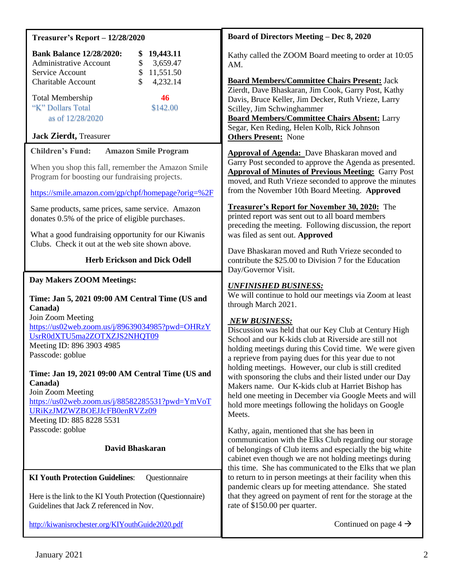| <b>Treasurer's Report - 12/28/2020</b>                                                                                                                                                                               | <b>Board of Directors Meeting - Dec 8, 2020</b>                                                                                                                                                                                                                                                                                                                                                                                                                                                                                                                |  |
|----------------------------------------------------------------------------------------------------------------------------------------------------------------------------------------------------------------------|----------------------------------------------------------------------------------------------------------------------------------------------------------------------------------------------------------------------------------------------------------------------------------------------------------------------------------------------------------------------------------------------------------------------------------------------------------------------------------------------------------------------------------------------------------------|--|
| <b>Bank Balance 12/28/2020:</b><br>19,443.11<br><b>Administrative Account</b><br>\$<br>3,659.47<br>$\$$<br>Service Account<br>11,551.50                                                                              | Kathy called the ZOOM Board meeting to order at 10:05<br>AM.                                                                                                                                                                                                                                                                                                                                                                                                                                                                                                   |  |
| $\mathcal{S}$<br>4,232.14<br><b>Charitable Account</b><br><b>Total Membership</b><br>46<br>"K" Dollars Total<br>\$142.00<br>as of 12/28/2020                                                                         | <b>Board Members/Committee Chairs Present: Jack</b><br>Zierdt, Dave Bhaskaran, Jim Cook, Garry Post, Kathy<br>Davis, Bruce Keller, Jim Decker, Ruth Vrieze, Larry<br>Scilley, Jim Schwinghammer<br><b>Board Members/Committee Chairs Absent: Larry</b><br>Segar, Ken Reding, Helen Kolb, Rick Johnson                                                                                                                                                                                                                                                          |  |
| <b>Jack Zierdt</b> , Treasurer                                                                                                                                                                                       | <b>Others Present:</b> None                                                                                                                                                                                                                                                                                                                                                                                                                                                                                                                                    |  |
| <b>Children's Fund:</b><br><b>Amazon Smile Program</b><br>When you shop this fall, remember the Amazon Smile<br>Program for boosting our fundraising projects.<br>https://smile.amazon.com/gp/chpf/homepage?orig=%2F | <b>Approval of Agenda:</b> Dave Bhaskaran moved and<br>Garry Post seconded to approve the Agenda as presented.<br><b>Approval of Minutes of Previous Meeting: Garry Post</b><br>moved, and Ruth Vrieze seconded to approve the minutes<br>from the November 10th Board Meeting. Approved                                                                                                                                                                                                                                                                       |  |
| Same products, same prices, same service. Amazon<br>donates 0.5% of the price of eligible purchases.<br>What a good fundraising opportunity for our Kiwanis                                                          | <b>Treasurer's Report for November 30, 2020:</b> The<br>printed report was sent out to all board members<br>preceding the meeting. Following discussion, the report<br>was filed as sent out. Approved                                                                                                                                                                                                                                                                                                                                                         |  |
| Clubs. Check it out at the web site shown above.<br><b>Herb Erickson and Dick Odell</b>                                                                                                                              | Dave Bhaskaran moved and Ruth Vrieze seconded to<br>contribute the \$25.00 to Division 7 for the Education                                                                                                                                                                                                                                                                                                                                                                                                                                                     |  |
| Day Makers ZOOM Meetings:                                                                                                                                                                                            | Day/Governor Visit.                                                                                                                                                                                                                                                                                                                                                                                                                                                                                                                                            |  |
| Time: Jan 5, 2021 09:00 AM Central Time (US and<br>Canada)                                                                                                                                                           | <b>UNFINISHED BUSINESS:</b><br>We will continue to hold our meetings via Zoom at least<br>through March 2021.                                                                                                                                                                                                                                                                                                                                                                                                                                                  |  |
| Join Zoom Meeting<br>https://us02web.zoom.us/j/89639034985?pwd=OHRzY<br>UsrR0dXTU5ma2ZOTXZJS2NHQT09<br>Meeting ID: 896 3903 4985<br>Passcode: goblue                                                                 | <b>NEW BUSINESS:</b><br>Discussion was held that our Key Club at Century High<br>School and our K-kids club at Riverside are still not<br>holding meetings during this Covid time. We were given<br>a reprieve from paying dues for this year due to not<br>holding meetings. However, our club is still credited<br>with sponsoring the clubs and their listed under our Day<br>Makers name. Our K-kids club at Harriet Bishop has<br>held one meeting in December via Google Meets and will<br>hold more meetings following the holidays on Google<br>Meets. |  |
| Time: Jan 19, 2021 09:00 AM Central Time (US and<br>Canada)<br>Join Zoom Meeting<br>https://us02web.zoom.us/j/88582285531?pwd=YmVoT<br>URiKzJMZWZBOEJJcFB0enRVZz09<br>Meeting ID: 885 8228 5531                      |                                                                                                                                                                                                                                                                                                                                                                                                                                                                                                                                                                |  |
| Passcode: goblue                                                                                                                                                                                                     | Kathy, again, mentioned that she has been in                                                                                                                                                                                                                                                                                                                                                                                                                                                                                                                   |  |
| David Bhaskaran                                                                                                                                                                                                      | communication with the Elks Club regarding our storage<br>of belongings of Club items and especially the big white<br>cabinet even though we are not holding meetings during<br>this time. She has communicated to the Elks that we plan<br>to return to in person meetings at their facility when this<br>pandemic clears up for meeting attendance. She stated<br>that they agreed on payment of rent for the storage at the<br>rate of \$150.00 per quarter.                                                                                                |  |
| <b>KI Youth Protection Guidelines:</b><br>Questionnaire<br>Here is the link to the KI Youth Protection (Questionnaire)<br>Guidelines that Jack Z referenced in Nov.                                                  |                                                                                                                                                                                                                                                                                                                                                                                                                                                                                                                                                                |  |
| http://kiwanisrochester.org/KIYouthGuide2020.pdf                                                                                                                                                                     | Continued on page $4 \rightarrow$                                                                                                                                                                                                                                                                                                                                                                                                                                                                                                                              |  |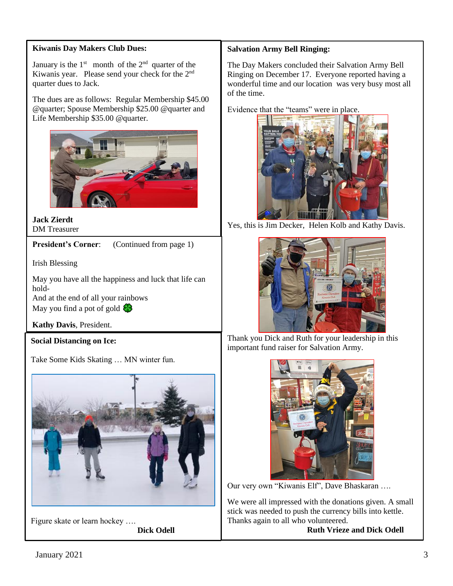### **Kiwanis Day Makers Club Dues:**

January is the  $1<sup>st</sup>$  month of the  $2<sup>nd</sup>$  quarter of the Kiwanis year. Please send your check for the 2<sup>nd</sup> quarter dues to Jack.

The dues are as follows: Regular Membership \$45.00 @quarter; Spouse Membership \$25.00 @quarter and Life Membership \$35.00 @quarter.



#### **Jack Zierdt** DM Treasurer

**President's Corner:** (Continued from page 1)

Irish Blessing

May you have all the happiness and luck that life can hold-

And at the end of all your rainbows May you find a pot of gold  $\bigotimes$ 

**Kathy Davis**, President.

# **Social Distancing on Ice:**

Take Some Kids Skating … MN winter fun.



Figure skate or learn hockey …. **Dick Odell**

# **Salvation Army Bell Ringing:**

The Day Makers concluded their Salvation Army Bell Ringing on December 17. Everyone reported having a wonderful time and our location was very busy most all of the time.

Evidence that the "teams" were in place.



Yes, this is Jim Decker, Helen Kolb and Kathy Davis.



Thank you Dick and Ruth for your leadership in this important fund raiser for Salvation Army.



Our very own "Kiwanis Elf", Dave Bhaskaran ….

We were all impressed with the donations given. A small stick was needed to push the currency bills into kettle. Thanks again to all who volunteered.

 **Ruth Vrieze and Dick Odell**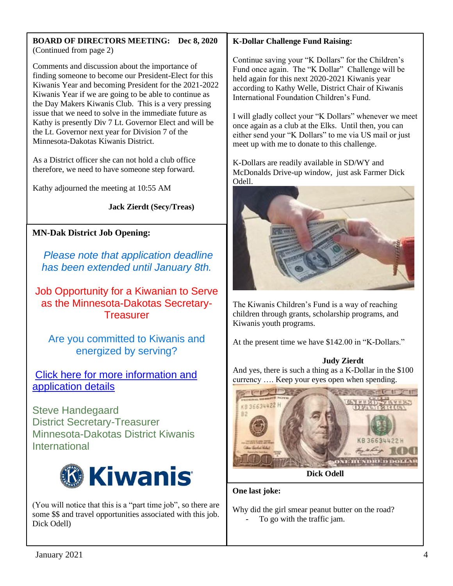#### **BOARD OF DIRECTORS MEETING: Dec 8, 2020** (Continued from page 2)

Comments and discussion about the importance of finding someone to become our President-Elect for this Kiwanis Year and becoming President for the 2021-2022 Kiwanis Year if we are going to be able to continue as the Day Makers Kiwanis Club. This is a very pressing issue that we need to solve in the immediate future as Kathy is presently Div 7 Lt. Governor Elect and will be the Lt. Governor next year for Division 7 of the Minnesota-Dakotas Kiwanis District.

As a District officer she can not hold a club office therefore, we need to have someone step forward.

Kathy adjourned the meeting at 10:55 AM

 **Jack Zierdt (Secy/Treas)**

# **MN-Dak District Job Opening:**

*Please note that application deadline has been extended until January 8th.*

Job Opportunity for a Kiwanian to Serve as the Minnesota-Dakotas Secretary-**Treasurer** 

Are you committed to Kiwanis and energized by serving?

[Click here for more information and](http://r20.rs6.net/tn.jsp?f=001XXr2GgJwuAFB94g9QYuar2snJBjHfe1u_S-HIqQXg6-_yYL8pYCKKTKvkInD7WInCfjGStU7EjUqNoDi8oj-8CreOWNy03dGZpco2ovEss5hkjNJMekJMkClbt2Mrr_k04yw4YBrVciXxT3KwjZm122u5Pu5j1WppOoJfH9l3eYv8bqjy9YxBrs9j_FAX_NH3efNkvDQI8q3_7VzHDJjILBHjXG_tfmbpmT1ufV6aTsFZ6fEZViUSOZ5wguAtYbxrLhrC-AOenKEMYRS6XtwIVoGRn-vXxkf7OI3DplzvSJPnlSBBuh0WL-sXjAf20eg1P-61JlaEmw=&c=juTneVW94xdnVV8sAG-SWwTGjkYcyXH9vIC0PvEgBXjYtm6br1MKeA==&ch=atUzzNXb0USs3Z-PGDm794h3tccsj8kRYvp-WeXlV5Cr3t7FVH0yYg==)  [application details](http://r20.rs6.net/tn.jsp?f=001XXr2GgJwuAFB94g9QYuar2snJBjHfe1u_S-HIqQXg6-_yYL8pYCKKTKvkInD7WInCfjGStU7EjUqNoDi8oj-8CreOWNy03dGZpco2ovEss5hkjNJMekJMkClbt2Mrr_k04yw4YBrVciXxT3KwjZm122u5Pu5j1WppOoJfH9l3eYv8bqjy9YxBrs9j_FAX_NH3efNkvDQI8q3_7VzHDJjILBHjXG_tfmbpmT1ufV6aTsFZ6fEZViUSOZ5wguAtYbxrLhrC-AOenKEMYRS6XtwIVoGRn-vXxkf7OI3DplzvSJPnlSBBuh0WL-sXjAf20eg1P-61JlaEmw=&c=juTneVW94xdnVV8sAG-SWwTGjkYcyXH9vIC0PvEgBXjYtm6br1MKeA==&ch=atUzzNXb0USs3Z-PGDm794h3tccsj8kRYvp-WeXlV5Cr3t7FVH0yYg==)

Steve Handegaard District Secretary-Treasurer Minnesota-Dakotas District Kiwanis International



(You will notice that this is a "part time job", so there are some \$\$ and travel opportunities associated with this job. Dick Odell)

# **K-Dollar Challenge Fund Raising:**

Continue saving your "K Dollars" for the Children's Fund once again. The "K Dollar" Challenge will be held again for this next 2020-2021 Kiwanis year according to Kathy Welle, District Chair of Kiwanis International Foundation Children's Fund.

I will gladly collect your "K Dollars" whenever we meet once again as a club at the Elks. Until then, you can either send your "K Dollars" to me via US mail or just meet up with me to donate to this challenge.

K-Dollars are readily available in SD/WY and McDonalds Drive-up window, just ask Farmer Dick Odell.



The Kiwanis Children's Fund is a way of reaching children through grants, scholarship programs, and Kiwanis youth programs.

At the present time we have \$142.00 in "K-Dollars."

#### **Judy Zierdt**

And yes, there is such a thing as a K-Dollar in the \$100 currency …. Keep your eyes open when spending.



**Dick Odell**

**One last joke:**

Why did the girl smear peanut butter on the road? To go with the traffic jam.